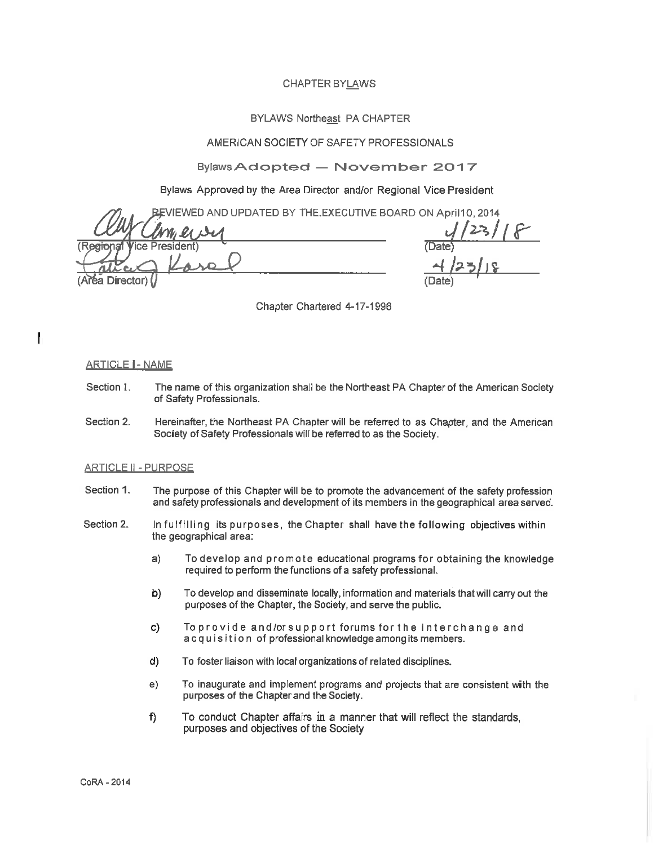## **CHAPTER BYLAWS**

## **BYLAWS Northeast PA CHAPTER**

# AMERICAN SOCIETY OF SAFETY PROFESSIONALS

# Bylaws Adopted - November 2017

# Bylaws Approved by the Area Director and/or Regional Vice President

EVIEWED AND UPDATED BY THE EXECUTIVE BOARD ON April10, 2014

resident) **Director** 

 $1/23/18$ <br> $23/18$ 

Chapter Chartered 4-17-1996

#### **ARTICLE | - NAME**

Ī

- Section 1. The name of this organization shall be the Northeast PA Chapter of the American Society of Safety Professionals.
- Section 2. Hereinafter, the Northeast PA Chapter will be referred to as Chapter, and the American Society of Safety Professionals will be referred to as the Society.

## **ARTICLE II - PURPOSE**

- Section 1. The purpose of this Chapter will be to promote the advancement of the safety profession and safety professionals and development of its members in the geographical area served.
- Section 2. In fulfilling its purposes, the Chapter shall have the following objectives within the geographical area:
	- $a)$ To develop and promote educational programs for obtaining the knowledge required to perform the functions of a safety professional.
	- $b)$ To develop and disseminate locally, information and materials that will carry out the purposes of the Chapter, the Society, and serve the public.
	- c) To provide and/or support forums for the interchange and acquisition of professional knowledge among its members.
	- $d)$ To foster liaison with local organizations of related disciplines.
	- $e)$ To inaugurate and implement programs and projects that are consistent with the purposes of the Chapter and the Society.
	- To conduct Chapter affairs in a manner that will reflect the standards, f) purposes and objectives of the Society

CoRA - 2014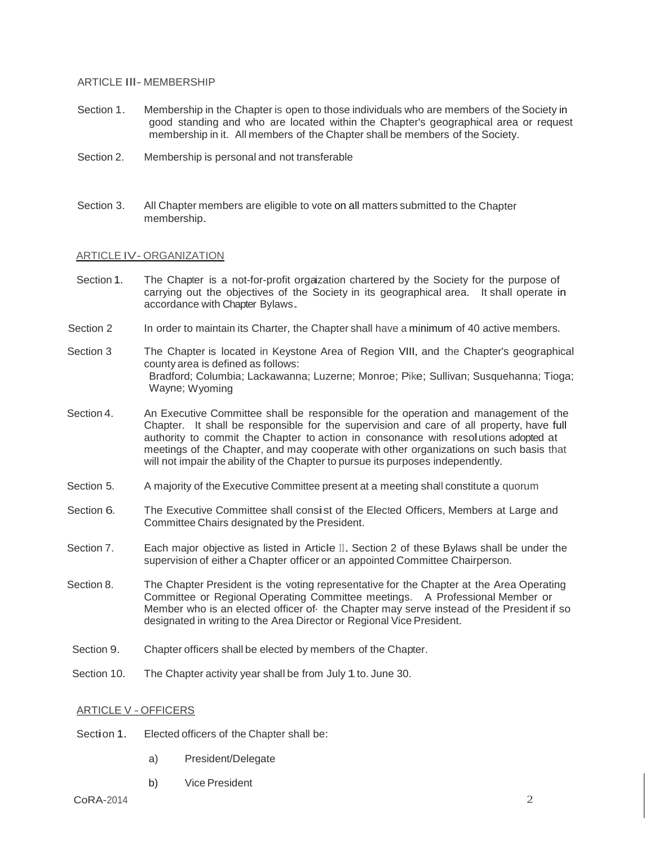## ARTICLE Ill- MEMBERSHIP

- Section 1. Membership in the Chapter is open to those individuals who are members of the Society in good standing and who are located within the Chapter's geographical area or request membership in it. All members of the Chapter shall be members of the Society.
- Section 2. Membership is personal and not transferable
- Section 3. All Chapter members are eligible to vote on all matters submitted to the Chapter membership.

## ARTICLE IV- ORGANIZATION

- Section 1. The Chapter is a not-for-profit orgaization chartered by the Society for the purpose of carrying out the objectives of the Society in its geographical area. It shall operate in accordance with Chapter Bylaws.
- Section 2 In order to maintain its Charter, the Chapter shall have a minimum of 40 active members.

Section 3 The Chapter is located in Keystone Area of Region VIII, and the Chapter's geographical county area is defined as follows: Bradford; Columbia; Lackawanna; Luzerne; Monroe; Pike; Sullivan; Susquehanna; Tioga; Wayne; Wyoming

- Section 4. An Executive Committee shall be responsible for the operation and management of the Chapter. It shall be responsible for the supervision and care of all property, have full authority to commit the Chapter to action in consonance with resolutions adopted at meetings of the Chapter, and may cooperate with other organizations on such basis that will not impair the ability of the Chapter to pursue its purposes independently.
- Section 5. A majority of the Executive Committee present at a meeting shall constitute a quorum
- Section 6. The Executive Committee shall consist of the Elected Officers, Members at Large and Committee Chairs designated by the President.
- Section 7. Each major objective as listed in Article II. Section 2 of these Bylaws shall be under the supervision of either a Chapter officer or an appointed Committee Chairperson.
- Section 8. The Chapter President is the voting representative for the Chapter at the Area Operating Committee or Regional Operating Committee meetings. A Professional Member or Member who is an elected officer of· the Chapter may serve instead of the President if so designated in writing to the Area Director or Regional Vice President.
- Section 9. Chapter officers shall be elected by members of the Chapter.
- Section 10. The Chapter activity year shall be from July 1 to. June 30.

## ARTICLE V - OFFICERS

- Section 1. Elected officers of the Chapter shall be:
	- a) President/Delegate
	- b) Vice President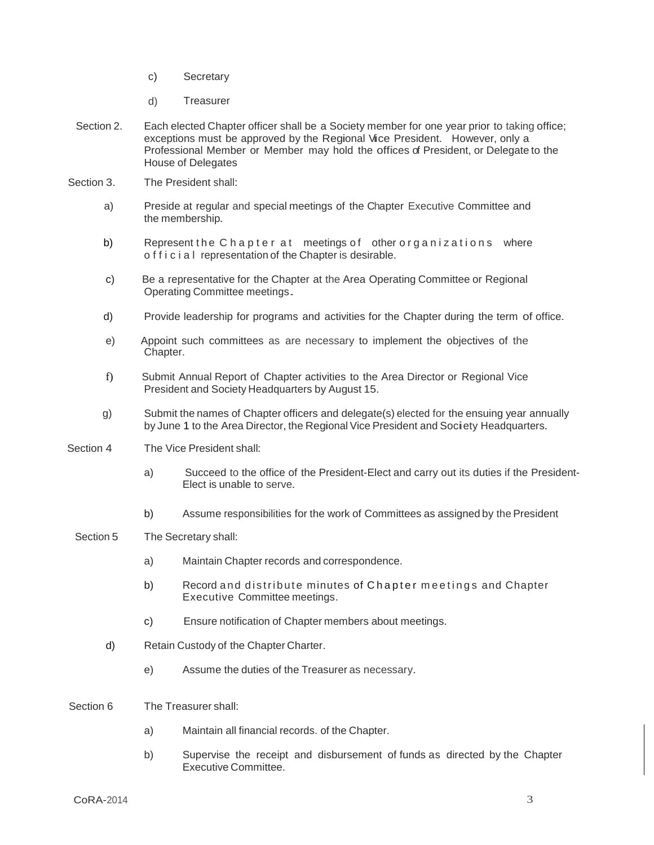- c) Secretary
- d) Treasurer
- Section 2. Each elected Chapter officer shall be a Society member for one year prior to taking office; exceptions must be approved by the Regional Vice President. However, only <sup>a</sup> Professional Member or Member may hold the offices of President, or Delegate to the House of Delegates
- Section 3. The President shall:
	- a) Preside at regular and special meetings of the Chapter Executive Committee and the membership.
	- b) Represent the C hapter at meetings of other organizations where o f f i c i a l representation of the Chapter is desirable.
	- c) Be a representative for the Chapter at the Area Operating Committee or Regional Operating Committee meetings.
	- d) Provide leadership for programs and activities for the Chapter during the term of office.
	- e) Appoint such committees as are necessary to implement the objectives of the Chapter.
	- f) Submit Annual Report of Chapter activities to the Area Director or Regional Vice President and Society Headquarters by August 15.
	- g) Submit the names of Chapter officers and delegate(s) elected for the ensuing year annually by June <sup>1</sup> to the Area Director, the Regional Vice President and Society Headquarters.
- Section 4 The Vice President shall:
	- a) Succeed to the office of the President-Elect and carry out its duties if the President-Elect is unable to serve.
	- b) Assume responsibilities for the work of Committees as assigned by the President
	- Section 5 The Secretary shall:
		- a) Maintain Chapter records and correspondence.
		- b) Record and distribute minutes of Chapter meetings and Chapter Executive Committee meetings.
		- c) Ensure notification of Chapter members about meetings.
		- d) Retain Custody of the Chapter Charter.
			- e) Assume the duties of the Treasurer as necessary.
- Section 6 The Treasurer shall:
	- a) Maintain all financial records. of the Chapter.
	- b) Supervise the receipt and disbursement of funds as directed by the Chapter Executive Committee.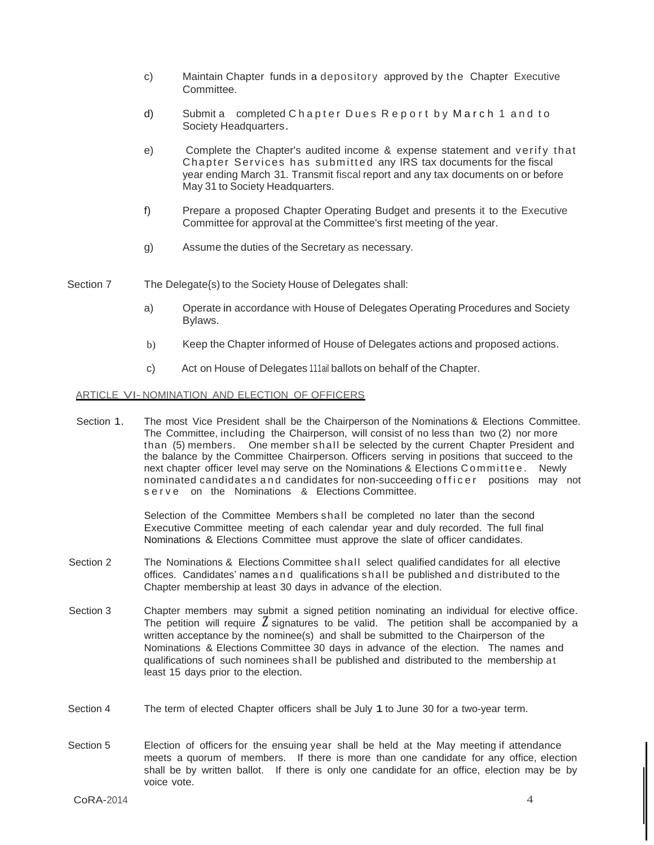- c) Maintain Chapter funds in a depository approved by the Chapter Executive Committee.
- d) Submit a completed Chapter Dues Report by March 1 and to Society Headquarters.
- e) Complete the Chapter's audited income & expense statement and verify that Chapter Services has subm itt ed any IRS tax documents for the fiscal year ending March 31. Transmit fiscal report and any tax documents on or before May 31 to Society Headquarters.
- f) Prepare a proposed Chapter Operating Budget and presents it to the Executive Committee for approval at the Committee's first meeting of the year.
- g) Assume the duties of the Secretary as necessary.
- Section 7 The Delegate{s) to the Society House of Delegates shall:
	- a) Operate in accordance with House of Delegates Operating Procedures and Society Bylaws.
	- b) Keep the Chapter informed of House of Delegates actions and proposed actions.
	- c) Act on House of Delegates 111ail ballots on behalf of the Chapter.

#### ARTICLE VI- NOMINATION AND ELECTION OF OFFICERS

Section 1. The most Vice President shall be the Chairperson of the Nominations & Elections Committee. The Committee, including the Chairperson, will consist of no less than two (2) nor more than (5) members. One member sh all be selected by the current Chapter President and the balance by the Committee Chairperson. Officers serving in positions that succeed to the next chapter officer level may serve on the Nominations & Elections Committee. Newly nominated candidates and candidates for non-succeeding officer positions may not serve on the Nominations & Elections Committee.

> Selection of the Committee Members shall be completed no later than the second Executive Committee meeting of each calendar year and duly recorded. The full final Nominations & Elections Committee must approve the slate of officer candidates.

- Section 2 The Nominations & Elections Committee shall select qualified candidates for all elective offices. Candidates' names and qualifications s h al l be published and distributed to the Chapter membership at least 30 days in advance of the election.
- The petition will require  $\zeta$  signatures to be valid. The petition shall be accompanied by a Section 3 Chapter members may submit a signed petition nominating an individual for elective office. written acceptance by the nominee(s) and shall be submitted to the Chairperson of the Nominations & Elections Committee 30 days in advance of the election. The names and qualifications of such nominees shall be published and distributed to the membership at least 15 days prior to the election.
- Section 4 The term of elected Chapter officers shall be July 1 to June 30 for a two-year term.
- Section 5 Election of officers for the ensuing year shall be held at the May meeting if attendance meets a quorum of members. If there is more than one candidate for any office, election shall be by written ballot. If there is only one candidate for an office, election may be by voice vote.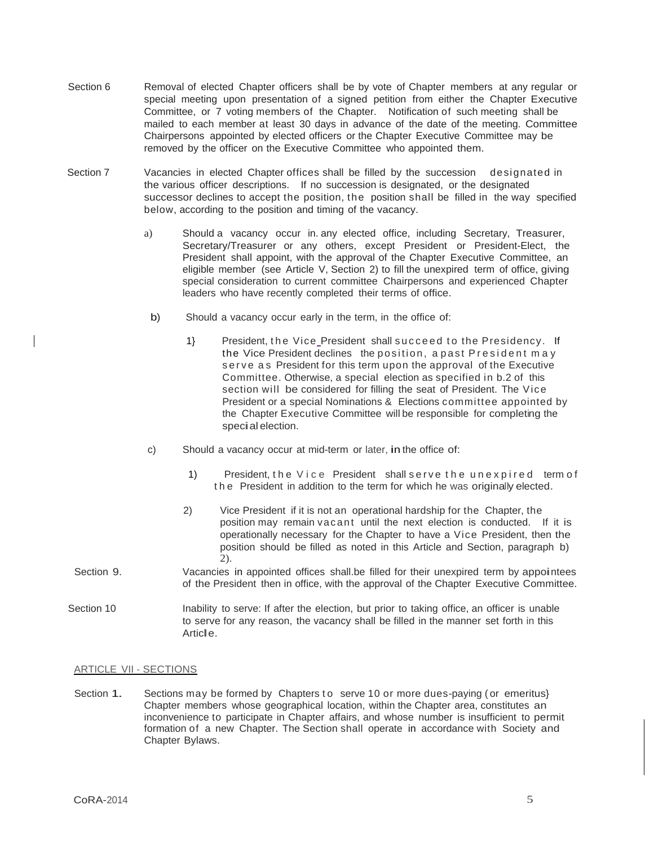- Section 6 Removal of elected Chapter officers shall be by vote of Chapter members at any regular or special meeting upon presentation of a signed petition from either the Chapter Executive Committee, or 7 voting members of the Chapter. Notification of such meeting shall be mailed to each member at least 30 days in advance of the date of the meeting. Committee Chairpersons appointed by elected officers or the Chapter Executive Committee may be removed by the officer on the Executive Committee who appointed them.
- Section 7 Vacancies in elected Chapter offices shall be filled by the succession designated in the various officer descriptions. If no succession is designated, or the designated successor declines to accept the position, the position shall be filled in the way specified below, according to the position and timing of the vacancy.
	- a) Should a vacancy occur in. any elected office, including Secretary, Treasurer, Secretary/Treasurer or any others, except President or President-Elect, the President shall appoint, with the approval of the Chapter Executive Committee, an eligible member (see Article V, Section 2) to fill the unexpired term of office, giving special consideration to current committee Chairpersons and experienced Chapter leaders who have recently completed their terms of office.
		- b) Should a vacancy occur early in the term, in the office of:
			- 1} President, the Vice President shall succeed to the Presidency. If the Vice President declines the position, a past President may serve as President for this term upon the approval of the Executive Committee. Otherwise, a special election as specified in b.2 of this section will be considered for filling the seat of President. The Vice President or a special Nominations & Elections committee appointed by the Chapter Executive Committee will be responsible for completing the special election.
	- c) Should <sup>a</sup> vacancy occur at mid-term or later, in the office of:
		- 1) President, the Vice President shall serve the unexpired term of the President in addition to the term for which he was originally elected.
		- 2) Vice President if it is not an operational hardship for the Chapter, the position may remain vacant until the next election is conducted. If it is operationally necessary for the Chapter to have a Vice President, then the position should be filled as noted in this Article and Section, paragraph b) 2).
- Section 9. Vacancies in appointed offices shall.be filled for their unexpired term by appointees of the President then in office, with the approval of the Chapter Executive Committee.
- Section 10 **Inability to serve: If after the election, but prior to taking office, an officer is unable** to serve for any reason, the vacancy shall be filled in the manner set forth in this Article.

#### ARTICLE VII - SECTIONS

Section 1. Sections may be formed by Chapters to serve 10 or more dues-paying (or emeritus) Chapter members whose geographical location, within the Chapter area, constitutes an inconvenience to participate in Chapter affairs, and whose number is insufficient to permit formation of a new Chapter. The Section shall operate in accordance with Society and Chapter Bylaws.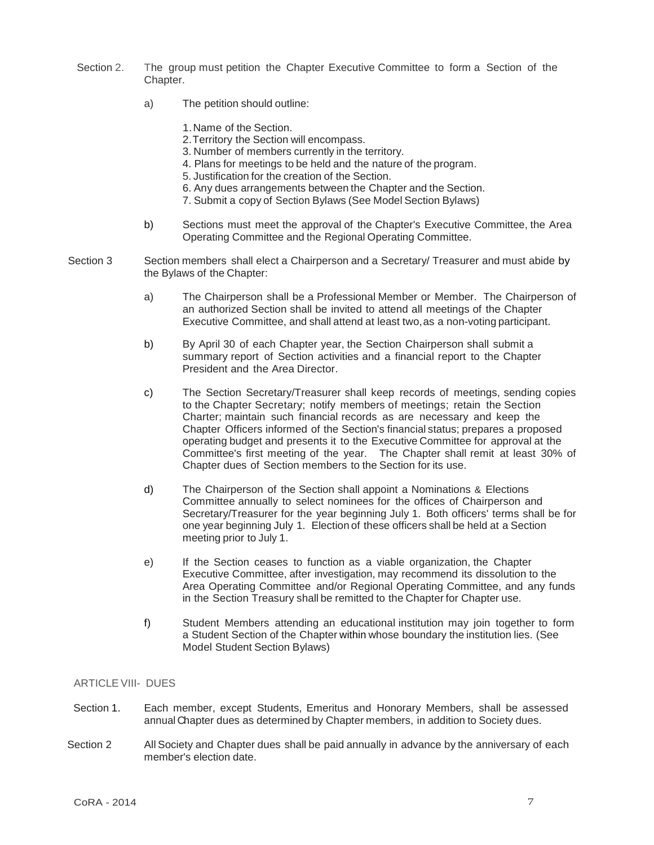- Section 2. The group must petition the Chapter Executive Committee to form a Section of the Chapter.
	- a) The petition should outline:
		- 1.Name of the Section.
		- 2.Territory the Section will encompass.
		- 3. Number of members currently in the territory.
		- 4. Plans for meetings to be held and the nature of the program.
		- 5. Justification for the creation of the Section.
		- 6. Any dues arrangements between the Chapter and the Section.
		- 7. Submit a copy of Section Bylaws (See Model Section Bylaws)
	- b) Sections must meet the approval of the Chapter's Executive Committee, the Area Operating Committee and the Regional Operating Committee.
- Section 3 Section members shall elect a Chairperson and a Secretary/ Treasurer and must abide by the Bylaws of the Chapter:
	- a) The Chairperson shall be a Professional Member or Member. The Chairperson of an authorized Section shall be invited to attend all meetings of the Chapter Executive Committee, and shall attend at least two,as a non-voting participant.
	- b) By April 30 of each Chapter year, the Section Chairperson shall submit a summary report of Section activities and a financial report to the Chapter President and the Area Director.
	- c) The Section Secretary/Treasurer shall keep records of meetings, sending copies to the Chapter Secretary; notify members of meetings; retain the Section Charter; maintain such financial records as are necessary and keep the Chapter Officers informed of the Section's financial status; prepares a proposed operating budget and presents it to the Executive Committee for approval at the Committee's first meeting of the year. The Chapter shall remit at least 30% of Chapter dues of Section members to the Section for its use.
	- d) The Chairperson of the Section shall appoint a Nominations & Elections Committee annually to select nominees for the offices of Chairperson and Secretary/Treasurer for the year beginning July 1. Both officers' terms shall be for one year beginning July 1. Election of these officers shall be held at a Section meeting prior to July 1.
	- e) If the Section ceases to function as a viable organization, the Chapter Executive Committee, after investigation, may recommend its dissolution to the Area Operating Committee and/or Regional Operating Committee, and any funds in the Section Treasury shall be remitted to the Chapter for Chapter use.
	- f) Student Members attending an educational institution may join together to form a Student Section of the Chapter within whose boundary the institution lies. (See Model Student Section Bylaws)

## ARTICLE VIII- DUES

- Section 1. Each member, except Students, Emeritus and Honorary Members, shall be assessed annual Chapter dues as determined by Chapter members, in addition to Society dues.
- Section 2 All Society and Chapter dues shall be paid annually in advance by the anniversary of each member's election date.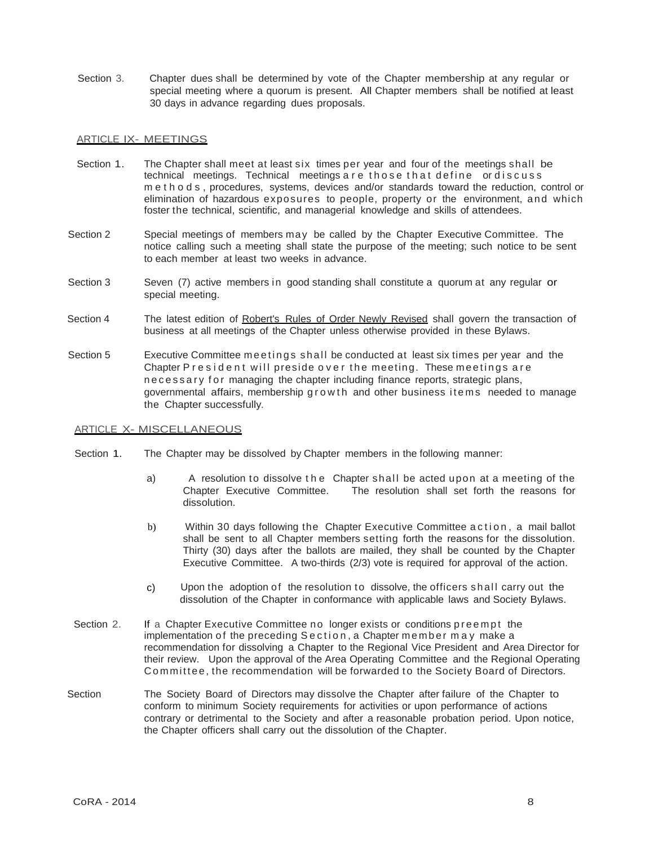Section 3. Chapter dues shall be determined by vote of the Chapter membership at any regular or special meeting where a quorum is present. All Chapter members shall be notified at least 30 days in advance regarding dues proposals.

#### ARTICLE IX- MEETINGS

- Section 1. The Chapter shall meet at least six times per year and four of the meetings shall be technical meetings. Technical meetings are those that define ordiscuss m e t h o d s , procedures, systems, devices and/or standards toward the reduction, control or elimination of hazardous exposures to people, property or the environment, and which foster the technical, scientific, and managerial knowledge and skills of attendees.
- Section 2 Special meetings of members may be called by the Chapter Executive Committee. The notice calling such a meeting shall state the purpose of the meeting; such notice to be sent to each member at least two weeks in advance.
- Section 3 Seven (7) active members in good standing shall constitute a quorum at any regular or special meeting.
- Section 4 The latest edition of Robert's Rules of Order Newly Revised shall govern the transaction of business at all meetings of the Chapter unless otherwise provided in these Bylaws.
- Section 5 Executive Committee meetings shall be conducted at least six times per year and the Chapter President will preside over the meeting. These meetings are n e c e s s a r y f o r managing the chapter including finance reports, strategic plans, governmental affairs, membership g r o w th and other business items needed to manage the Chapter successfully.

#### ARTICLE X- MISCELLANEOUS

- Section 1. The Chapter may be dissolved by Chapter members in the following manner:
	- a) A resolution to dissolve the Chapter shall be acted upon at a meeting of the Chapter Executive Committee. The resolution shall set forth the reasons for dissolution.
	- b) Within 30 days following the Chapter Executive Committee action, a mail ballot shall be sent to all Chapter members setting forth the reasons for the dissolution. Thirty (30) days after the ballots are mailed, they shall be counted by the Chapter Executive Committee. A two-thirds (2/3) vote is required for approval of the action.
	- c) Upon the adoption of the resolution to dissolve, the officers shall carry out the dissolution of the Chapter in conformance with applicable laws and Society Bylaws.
- Section 2. If a Chapter Executive Committee no longer exists or conditions p reempt the implementation of the preceding Section, a Chapter member may make a recommendation for dissolving a Chapter to the Regional Vice President and Area Director for their review. Upon the approval of the Area Operating Committee and the Regional Operating Committee, the recommendation will be forwarded to the Society Board of Directors.
- Section The Society Board of Directors may dissolve the Chapter after failure of the Chapter to conform to minimum Society requirements for activities or upon performance of actions contrary or detrimental to the Society and after a reasonable probation period. Upon notice, the Chapter officers shall carry out the dissolution of the Chapter.